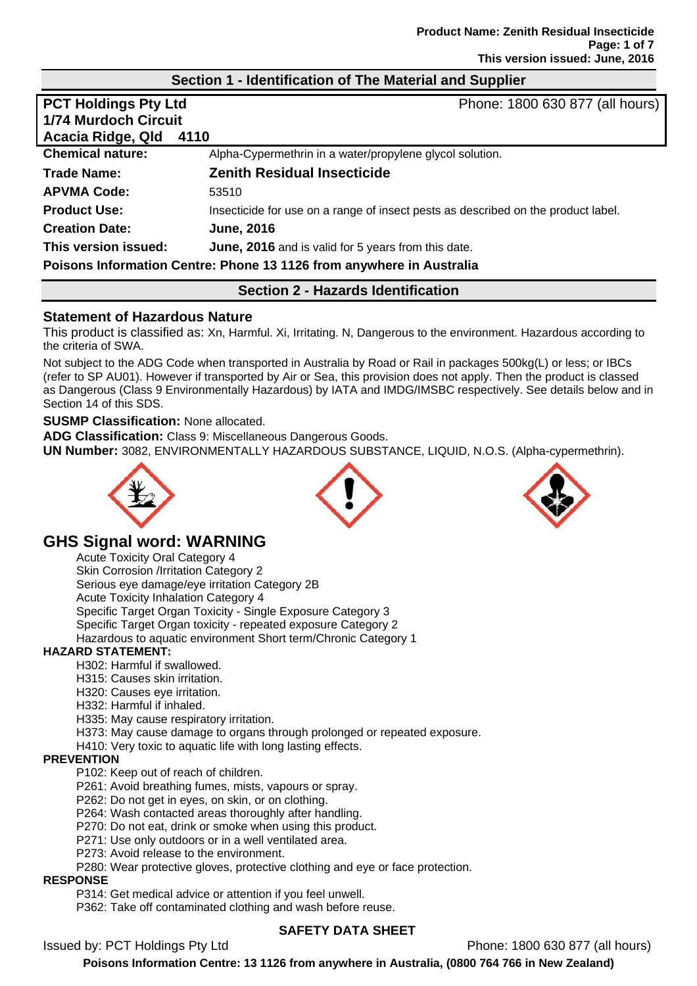#### **Section 1 - Identification of The Material and Supplier**

| <b>PCT Holdings Pty Ltd</b>                                          | Phone: 1800 630 877 (all hours)                                                   |  |
|----------------------------------------------------------------------|-----------------------------------------------------------------------------------|--|
| <b>1/74 Murdoch Circuit</b>                                          |                                                                                   |  |
| Acacia Ridge, Qld                                                    | 4110                                                                              |  |
| <b>Chemical nature:</b>                                              | Alpha-Cypermethrin in a water/propylene glycol solution.                          |  |
| Trade Name:                                                          | <b>Zenith Residual Insecticide</b>                                                |  |
| <b>APVMA Code:</b>                                                   | 53510                                                                             |  |
| <b>Product Use:</b>                                                  | Insecticide for use on a range of insect pests as described on the product label. |  |
| <b>Creation Date:</b>                                                | <b>June, 2016</b>                                                                 |  |
| This version issued:                                                 | June, 2016 and is valid for 5 years from this date.                               |  |
| Poisons Information Centre: Phone 13 1126 from anywhere in Australia |                                                                                   |  |
|                                                                      |                                                                                   |  |

# **Section 2 - Hazards Identification**

#### **Statement of Hazardous Nature**

This product is classified as: Xn, Harmful. Xi, Irritating. N, Dangerous to the environment. Hazardous according to the criteria of SWA.

Not subject to the ADG Code when transported in Australia by Road or Rail in packages 500kg(L) or less; or IBCs (refer to SP AU01). However if transported by Air or Sea, this provision does not apply. Then the product is classed as Dangerous (Class 9 Environmentally Hazardous) by IATA and IMDG/IMSBC respectively. See details below and in Section 14 of this SDS.

#### **SUSMP Classification:** None allocated.

**ADG Classification:** Class 9: Miscellaneous Dangerous Goods. **UN Number:** 3082, ENVIRONMENTALLY HAZARDOUS SUBSTANCE, LIQUID, N.O.S. (Alpha-cypermethrin).



# **GHS Signal word: WARNING**

Acute Toxicity Oral Category 4

Skin Corrosion /Irritation Category 2 Serious eye damage/eye irritation Category 2B Acute Toxicity Inhalation Category 4 Specific Target Organ Toxicity - Single Exposure Category 3 Specific Target Organ toxicity - repeated exposure Category 2 Hazardous to aquatic environment Short term/Chronic Category 1

#### **HAZARD STATEMENT:**

- H302: Harmful if swallowed.
- H315: Causes skin irritation.
- H320: Causes eye irritation.
- H332: Harmful if inhaled.

H335: May cause respiratory irritation.

- H373: May cause damage to organs through prolonged or repeated exposure.
- H410: Very toxic to aquatic life with long lasting effects.

#### **PREVENTION**

- P102: Keep out of reach of children.
- P261: Avoid breathing fumes, mists, vapours or spray.
- P262: Do not get in eyes, on skin, or on clothing.
- P264: Wash contacted areas thoroughly after handling.
- P270: Do not eat, drink or smoke when using this product.
- P271: Use only outdoors or in a well ventilated area.
- P273: Avoid release to the environment.
- P280: Wear protective gloves, protective clothing and eye or face protection.

#### **RESPONSE**

P314: Get medical advice or attention if you feel unwell.

P362: Take off contaminated clothing and wash before reuse.

#### **SAFETY DATA SHEET**

Issued by: PCT Holdings Pty Ltd Phone: 1800 630 877 (all hours)

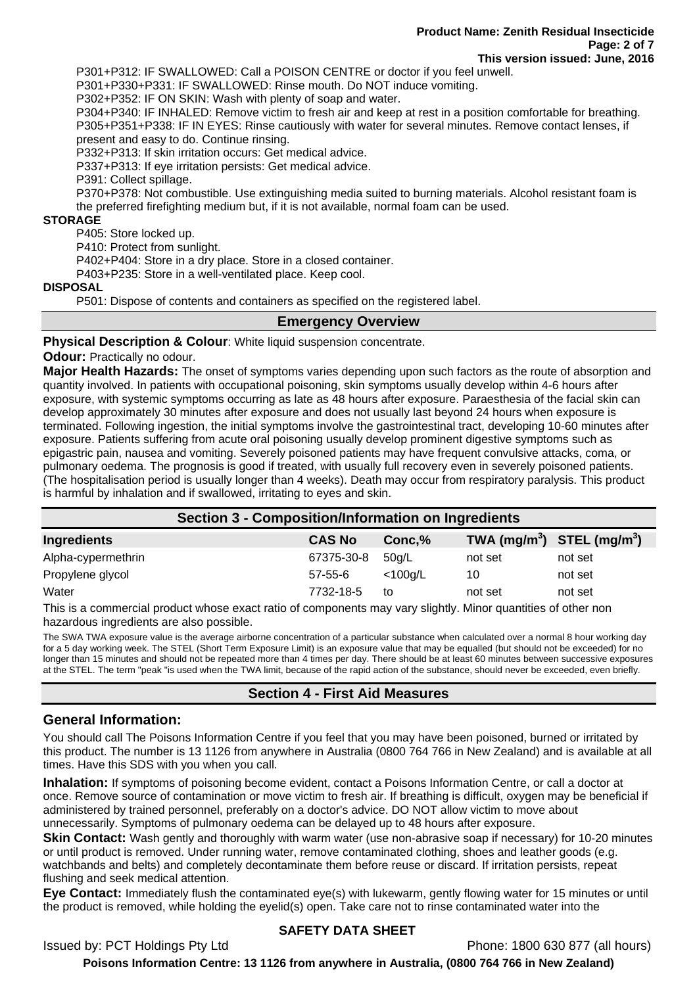P301+P312: IF SWALLOWED: Call a POISON CENTRE or doctor if you feel unwell.

P301+P330+P331: IF SWALLOWED: Rinse mouth. Do NOT induce vomiting.

P302+P352: IF ON SKIN: Wash with plenty of soap and water.

P304+P340: IF INHALED: Remove victim to fresh air and keep at rest in a position comfortable for breathing. P305+P351+P338: IF IN EYES: Rinse cautiously with water for several minutes. Remove contact lenses, if present and easy to do. Continue rinsing.

P332+P313: If skin irritation occurs: Get medical advice.

P337+P313: If eye irritation persists: Get medical advice.

P391: Collect spillage.

P370+P378: Not combustible. Use extinguishing media suited to burning materials. Alcohol resistant foam is the preferred firefighting medium but, if it is not available, normal foam can be used.

#### **STORAGE**

P405: Store locked up.

P410: Protect from sunlight.

P402+P404: Store in a dry place. Store in a closed container.

P403+P235: Store in a well-ventilated place. Keep cool.

#### **DISPOSAL**

P501: Dispose of contents and containers as specified on the registered label.

#### **Emergency Overview**

**Physical Description & Colour: White liquid suspension concentrate.** 

**Odour: Practically no odour.** 

**Major Health Hazards:** The onset of symptoms varies depending upon such factors as the route of absorption and quantity involved. In patients with occupational poisoning, skin symptoms usually develop within 4-6 hours after exposure, with systemic symptoms occurring as late as 48 hours after exposure. Paraesthesia of the facial skin can develop approximately 30 minutes after exposure and does not usually last beyond 24 hours when exposure is terminated. Following ingestion, the initial symptoms involve the gastrointestinal tract, developing 10-60 minutes after exposure. Patients suffering from acute oral poisoning usually develop prominent digestive symptoms such as epigastric pain, nausea and vomiting. Severely poisoned patients may have frequent convulsive attacks, coma, or pulmonary oedema. The prognosis is good if treated, with usually full recovery even in severely poisoned patients. (The hospitalisation period is usually longer than 4 weeks). Death may occur from respiratory paralysis. This product is harmful by inhalation and if swallowed, irritating to eyes and skin.

| <b>Section 3 - Composition/Information on Ingredients</b> |               |            |                                |         |
|-----------------------------------------------------------|---------------|------------|--------------------------------|---------|
| Ingredients                                               | <b>CAS No</b> | Conc, %    | TWA $(mg/m^3)$ STEL $(mg/m^3)$ |         |
| Alpha-cypermethrin                                        | 67375-30-8    | 50g/L      | not set                        | not set |
| Propylene glycol                                          | $57 - 55 - 6$ | $<$ 100g/L | 10                             | not set |
| Water                                                     | 7732-18-5     | to         | not set                        | not set |

This is a commercial product whose exact ratio of components may vary slightly. Minor quantities of other non hazardous ingredients are also possible.

The SWA TWA exposure value is the average airborne concentration of a particular substance when calculated over a normal 8 hour working day for a 5 day working week. The STEL (Short Term Exposure Limit) is an exposure value that may be equalled (but should not be exceeded) for no longer than 15 minutes and should not be repeated more than 4 times per day. There should be at least 60 minutes between successive exposures at the STEL. The term "peak "is used when the TWA limit, because of the rapid action of the substance, should never be exceeded, even briefly.

## **Section 4 - First Aid Measures**

## **General Information:**

You should call The Poisons Information Centre if you feel that you may have been poisoned, burned or irritated by this product. The number is 13 1126 from anywhere in Australia (0800 764 766 in New Zealand) and is available at all times. Have this SDS with you when you call.

**Inhalation:** If symptoms of poisoning become evident, contact a Poisons Information Centre, or call a doctor at once. Remove source of contamination or move victim to fresh air. If breathing is difficult, oxygen may be beneficial if administered by trained personnel, preferably on a doctor's advice. DO NOT allow victim to move about unnecessarily. Symptoms of pulmonary oedema can be delayed up to 48 hours after exposure.

**Skin Contact:** Wash gently and thoroughly with warm water (use non-abrasive soap if necessary) for 10-20 minutes or until product is removed. Under running water, remove contaminated clothing, shoes and leather goods (e.g. watchbands and belts) and completely decontaminate them before reuse or discard. If irritation persists, repeat flushing and seek medical attention.

**Eye Contact:** Immediately flush the contaminated eye(s) with lukewarm, gently flowing water for 15 minutes or until the product is removed, while holding the eyelid(s) open. Take care not to rinse contaminated water into the

#### **SAFETY DATA SHEET**

Issued by: PCT Holdings Pty Ltd Phone: 1800 630 877 (all hours)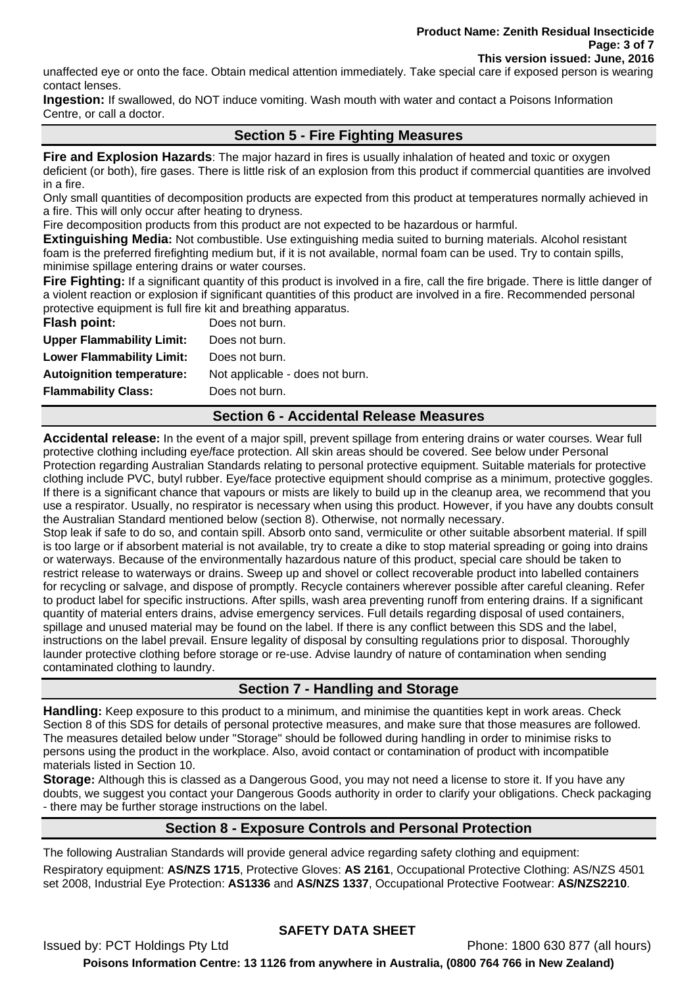unaffected eye or onto the face. Obtain medical attention immediately. Take special care if exposed person is wearing contact lenses.

**Ingestion:** If swallowed, do NOT induce vomiting. Wash mouth with water and contact a Poisons Information Centre, or call a doctor.

## **Section 5 - Fire Fighting Measures**

**Fire and Explosion Hazards**: The major hazard in fires is usually inhalation of heated and toxic or oxygen deficient (or both), fire gases. There is little risk of an explosion from this product if commercial quantities are involved in a fire.

Only small quantities of decomposition products are expected from this product at temperatures normally achieved in a fire. This will only occur after heating to dryness.

Fire decomposition products from this product are not expected to be hazardous or harmful.

**Extinguishing Media:** Not combustible. Use extinguishing media suited to burning materials. Alcohol resistant foam is the preferred firefighting medium but, if it is not available, normal foam can be used. Try to contain spills, minimise spillage entering drains or water courses.

**Fire Fighting:** If a significant quantity of this product is involved in a fire, call the fire brigade. There is little danger of a violent reaction or explosion if significant quantities of this product are involved in a fire. Recommended personal protective equipment is full fire kit and breathing apparatus.

| Does not burn.                  |
|---------------------------------|
| Does not burn.                  |
| Does not burn.                  |
| Not applicable - does not burn. |
| Does not burn.                  |
|                                 |

# **Section 6 - Accidental Release Measures**

**Accidental release:** In the event of a major spill, prevent spillage from entering drains or water courses. Wear full protective clothing including eye/face protection. All skin areas should be covered. See below under Personal Protection regarding Australian Standards relating to personal protective equipment. Suitable materials for protective clothing include PVC, butyl rubber. Eye/face protective equipment should comprise as a minimum, protective goggles. If there is a significant chance that vapours or mists are likely to build up in the cleanup area, we recommend that you use a respirator. Usually, no respirator is necessary when using this product. However, if you have any doubts consult the Australian Standard mentioned below (section 8). Otherwise, not normally necessary.

Stop leak if safe to do so, and contain spill. Absorb onto sand, vermiculite or other suitable absorbent material. If spill is too large or if absorbent material is not available, try to create a dike to stop material spreading or going into drains or waterways. Because of the environmentally hazardous nature of this product, special care should be taken to restrict release to waterways or drains. Sweep up and shovel or collect recoverable product into labelled containers for recycling or salvage, and dispose of promptly. Recycle containers wherever possible after careful cleaning. Refer to product label for specific instructions. After spills, wash area preventing runoff from entering drains. If a significant quantity of material enters drains, advise emergency services. Full details regarding disposal of used containers, spillage and unused material may be found on the label. If there is any conflict between this SDS and the label, instructions on the label prevail. Ensure legality of disposal by consulting regulations prior to disposal. Thoroughly launder protective clothing before storage or re-use. Advise laundry of nature of contamination when sending contaminated clothing to laundry.

# **Section 7 - Handling and Storage**

**Handling:** Keep exposure to this product to a minimum, and minimise the quantities kept in work areas. Check Section 8 of this SDS for details of personal protective measures, and make sure that those measures are followed. The measures detailed below under "Storage" should be followed during handling in order to minimise risks to persons using the product in the workplace. Also, avoid contact or contamination of product with incompatible materials listed in Section 10.

**Storage:** Although this is classed as a Dangerous Good, you may not need a license to store it. If you have any doubts, we suggest you contact your Dangerous Goods authority in order to clarify your obligations. Check packaging - there may be further storage instructions on the label.

## **Section 8 - Exposure Controls and Personal Protection**

The following Australian Standards will provide general advice regarding safety clothing and equipment: Respiratory equipment: **AS/NZS 1715**, Protective Gloves: **AS 2161**, Occupational Protective Clothing: AS/NZS 4501 set 2008, Industrial Eye Protection: **AS1336** and **AS/NZS 1337**, Occupational Protective Footwear: **AS/NZS2210**.

# **SAFETY DATA SHEET**

Issued by: PCT Holdings Pty Ltd Phone: 1800 630 877 (all hours) **Poisons Information Centre: 13 1126 from anywhere in Australia, (0800 764 766 in New Zealand)**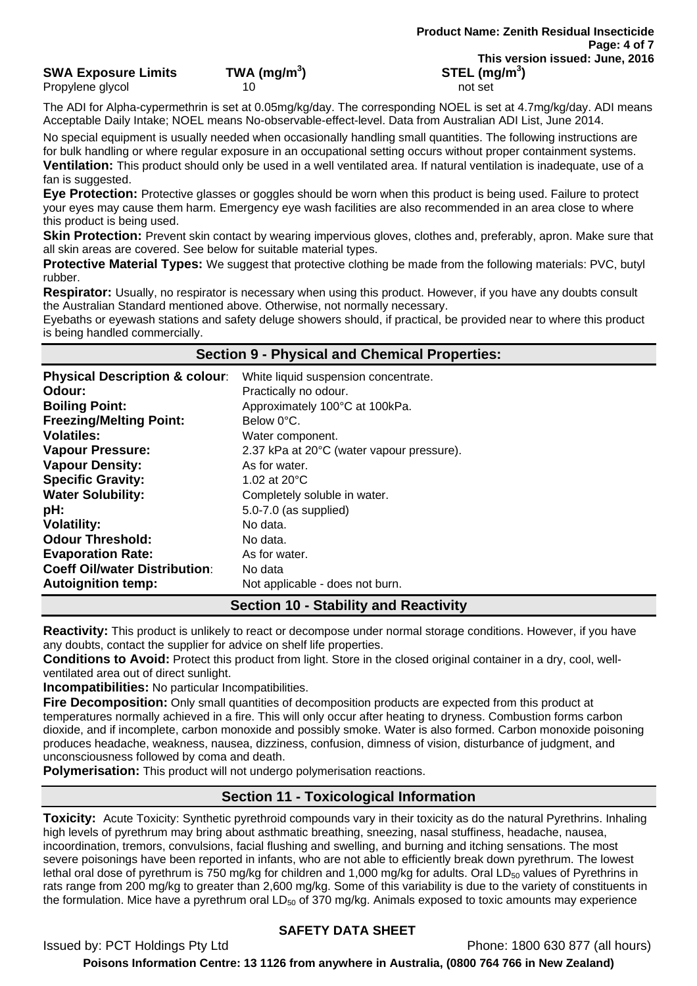## **SWA Exposure Limits TWA (mg/m<sup>3</sup>**

Propylene glycol and the contract of the 10 not set of the contract of the contract of the contract of the contract of the contract of the contract of the contract of the contract of the contract of the contract of the con

The ADI for Alpha-cypermethrin is set at 0.05mg/kg/day. The corresponding NOEL is set at 4.7mg/kg/day. ADI means Acceptable Daily Intake; NOEL means No-observable-effect-level. Data from Australian ADI List, June 2014.

No special equipment is usually needed when occasionally handling small quantities. The following instructions are for bulk handling or where regular exposure in an occupational setting occurs without proper containment systems. **Ventilation:** This product should only be used in a well ventilated area. If natural ventilation is inadequate, use of a fan is suggested.

**Eye Protection:** Protective glasses or goggles should be worn when this product is being used. Failure to protect your eyes may cause them harm. Emergency eye wash facilities are also recommended in an area close to where this product is being used.

**Skin Protection:** Prevent skin contact by wearing impervious gloves, clothes and, preferably, apron. Make sure that all skin areas are covered. See below for suitable material types.

**Protective Material Types:** We suggest that protective clothing be made from the following materials: PVC, butyl rubber.

**Respirator:** Usually, no respirator is necessary when using this product. However, if you have any doubts consult the Australian Standard mentioned above. Otherwise, not normally necessary.

Eyebaths or eyewash stations and safety deluge showers should, if practical, be provided near to where this product is being handled commercially.

## **Section 9 - Physical and Chemical Properties:**

| <b>Physical Description &amp; colour:</b> | White liquid suspension concentrate.      |
|-------------------------------------------|-------------------------------------------|
| Odour:                                    | Practically no odour.                     |
| <b>Boiling Point:</b>                     | Approximately 100°C at 100kPa.            |
| <b>Freezing/Melting Point:</b>            | Below 0°C.                                |
| <b>Volatiles:</b>                         | Water component.                          |
| <b>Vapour Pressure:</b>                   | 2.37 kPa at 20°C (water vapour pressure). |
| <b>Vapour Density:</b>                    | As for water.                             |
| <b>Specific Gravity:</b>                  | 1.02 at $20^{\circ}$ C                    |
| <b>Water Solubility:</b>                  | Completely soluble in water.              |
| pH:                                       | 5.0-7.0 (as supplied)                     |
| <b>Volatility:</b>                        | No data.                                  |
| <b>Odour Threshold:</b>                   | No data.                                  |
| <b>Evaporation Rate:</b>                  | As for water.                             |
| <b>Coeff Oil/water Distribution:</b>      | No data                                   |
| <b>Autoignition temp:</b>                 | Not applicable - does not burn.           |

# **Section 10 - Stability and Reactivity**

**Reactivity:** This product is unlikely to react or decompose under normal storage conditions. However, if you have any doubts, contact the supplier for advice on shelf life properties.

**Conditions to Avoid:** Protect this product from light. Store in the closed original container in a dry, cool, wellventilated area out of direct sunlight.

**Incompatibilities:** No particular Incompatibilities.

**Fire Decomposition:** Only small quantities of decomposition products are expected from this product at temperatures normally achieved in a fire. This will only occur after heating to dryness. Combustion forms carbon dioxide, and if incomplete, carbon monoxide and possibly smoke. Water is also formed. Carbon monoxide poisoning produces headache, weakness, nausea, dizziness, confusion, dimness of vision, disturbance of judgment, and unconsciousness followed by coma and death.

**Polymerisation:** This product will not undergo polymerisation reactions.

# **Section 11 - Toxicological Information**

**Toxicity:** Acute Toxicity: Synthetic pyrethroid compounds vary in their toxicity as do the natural Pyrethrins. Inhaling high levels of pyrethrum may bring about asthmatic breathing, sneezing, nasal stuffiness, headache, nausea, incoordination, tremors, convulsions, facial flushing and swelling, and burning and itching sensations. The most severe poisonings have been reported in infants, who are not able to efficiently break down pyrethrum. The lowest lethal oral dose of pyrethrum is 750 mg/kg for children and 1,000 mg/kg for adults. Oral LD<sub>50</sub> values of Pyrethrins in rats range from 200 mg/kg to greater than 2,600 mg/kg. Some of this variability is due to the variety of constituents in the formulation. Mice have a pyrethrum oral  $LD_{50}$  of 370 mg/kg. Animals exposed to toxic amounts may experience

# **SAFETY DATA SHEET**

Issued by: PCT Holdings Pty Ltd Phone: 1800 630 877 (all hours)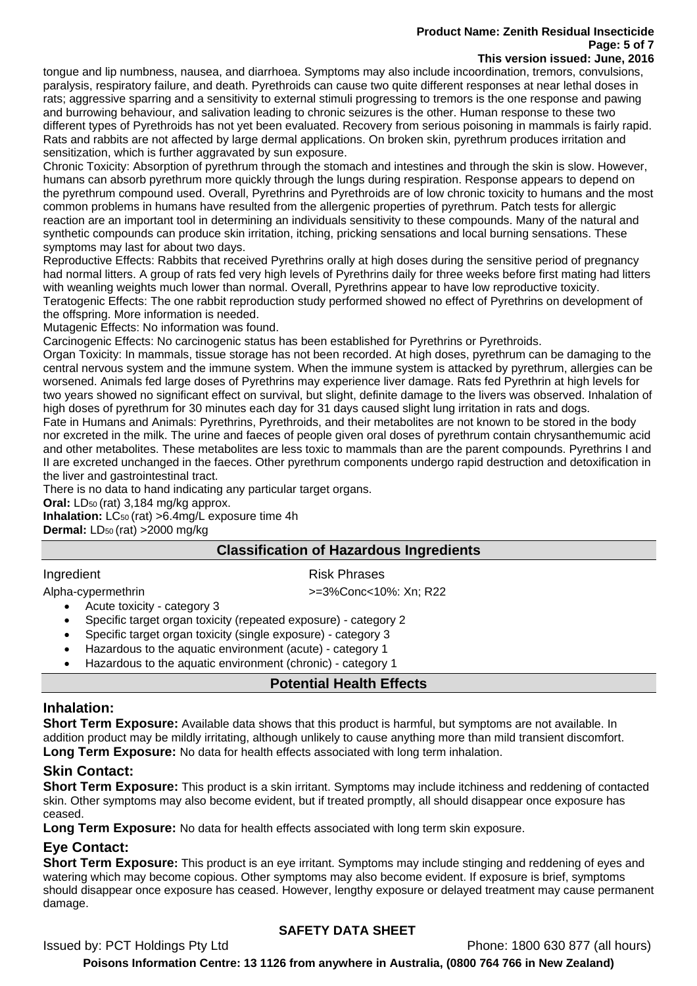# **Product Name: Zenith Residual Insecticide Page: 5 of 7**

#### **This version issued: June, 2016**

tongue and lip numbness, nausea, and diarrhoea. Symptoms may also include incoordination, tremors, convulsions, paralysis, respiratory failure, and death. Pyrethroids can cause two quite different responses at near lethal doses in rats; aggressive sparring and a sensitivity to external stimuli progressing to tremors is the one response and pawing and burrowing behaviour, and salivation leading to chronic seizures is the other. Human response to these two different types of Pyrethroids has not yet been evaluated. Recovery from serious poisoning in mammals is fairly rapid. Rats and rabbits are not affected by large dermal applications. On broken skin, pyrethrum produces irritation and sensitization, which is further aggravated by sun exposure.

Chronic Toxicity: Absorption of pyrethrum through the stomach and intestines and through the skin is slow. However, humans can absorb pyrethrum more quickly through the lungs during respiration. Response appears to depend on the pyrethrum compound used. Overall, Pyrethrins and Pyrethroids are of low chronic toxicity to humans and the most common problems in humans have resulted from the allergenic properties of pyrethrum. Patch tests for allergic reaction are an important tool in determining an individuals sensitivity to these compounds. Many of the natural and synthetic compounds can produce skin irritation, itching, pricking sensations and local burning sensations. These symptoms may last for about two days.

Reproductive Effects: Rabbits that received Pyrethrins orally at high doses during the sensitive period of pregnancy had normal litters. A group of rats fed very high levels of Pyrethrins daily for three weeks before first mating had litters with weanling weights much lower than normal. Overall, Pyrethrins appear to have low reproductive toxicity. Teratogenic Effects: The one rabbit reproduction study performed showed no effect of Pyrethrins on development of the offspring. More information is needed.

Mutagenic Effects: No information was found.

Carcinogenic Effects: No carcinogenic status has been established for Pyrethrins or Pyrethroids.

Organ Toxicity: In mammals, tissue storage has not been recorded. At high doses, pyrethrum can be damaging to the central nervous system and the immune system. When the immune system is attacked by pyrethrum, allergies can be worsened. Animals fed large doses of Pyrethrins may experience liver damage. Rats fed Pyrethrin at high levels for two years showed no significant effect on survival, but slight, definite damage to the livers was observed. Inhalation of high doses of pyrethrum for 30 minutes each day for 31 days caused slight lung irritation in rats and dogs. Fate in Humans and Animals: Pyrethrins, Pyrethroids, and their metabolites are not known to be stored in the body nor excreted in the milk. The urine and faeces of people given oral doses of pyrethrum contain chrysanthemumic acid and other metabolites. These metabolites are less toxic to mammals than are the parent compounds. Pyrethrins I and II are excreted unchanged in the faeces. Other pyrethrum components undergo rapid destruction and detoxification in the liver and gastrointestinal tract.

There is no data to hand indicating any particular target organs.

**Oral:** LD<sub>50</sub> (rat) 3,184 mg/kg approx.

**Inhalation:** LC<sub>50</sub> (rat) > 6.4mg/L exposure time 4h **Dermal:** LD50 (rat) >2000 mg/kg

## **Classification of Hazardous Ingredients**

#### Ingredient **Risk Phrases**

Alpha-cypermethrin >=3%Conc<10%: Xn; R22

- Acute toxicity category 3
- Specific target organ toxicity (repeated exposure) category 2
- Specific target organ toxicity (single exposure) category 3
- Hazardous to the aquatic environment (acute) category 1
- Hazardous to the aquatic environment (chronic) category 1

## **Potential Health Effects**

## **Inhalation:**

**Short Term Exposure:** Available data shows that this product is harmful, but symptoms are not available. In addition product may be mildly irritating, although unlikely to cause anything more than mild transient discomfort. **Long Term Exposure:** No data for health effects associated with long term inhalation.

# **Skin Contact:**

**Short Term Exposure:** This product is a skin irritant. Symptoms may include itchiness and reddening of contacted skin. Other symptoms may also become evident, but if treated promptly, all should disappear once exposure has ceased.

**Long Term Exposure:** No data for health effects associated with long term skin exposure.

# **Eye Contact:**

**Short Term Exposure:** This product is an eye irritant. Symptoms may include stinging and reddening of eyes and watering which may become copious. Other symptoms may also become evident. If exposure is brief, symptoms should disappear once exposure has ceased. However, lengthy exposure or delayed treatment may cause permanent damage.

# **SAFETY DATA SHEET**

Issued by: PCT Holdings Pty Ltd Phone: 1800 630 877 (all hours)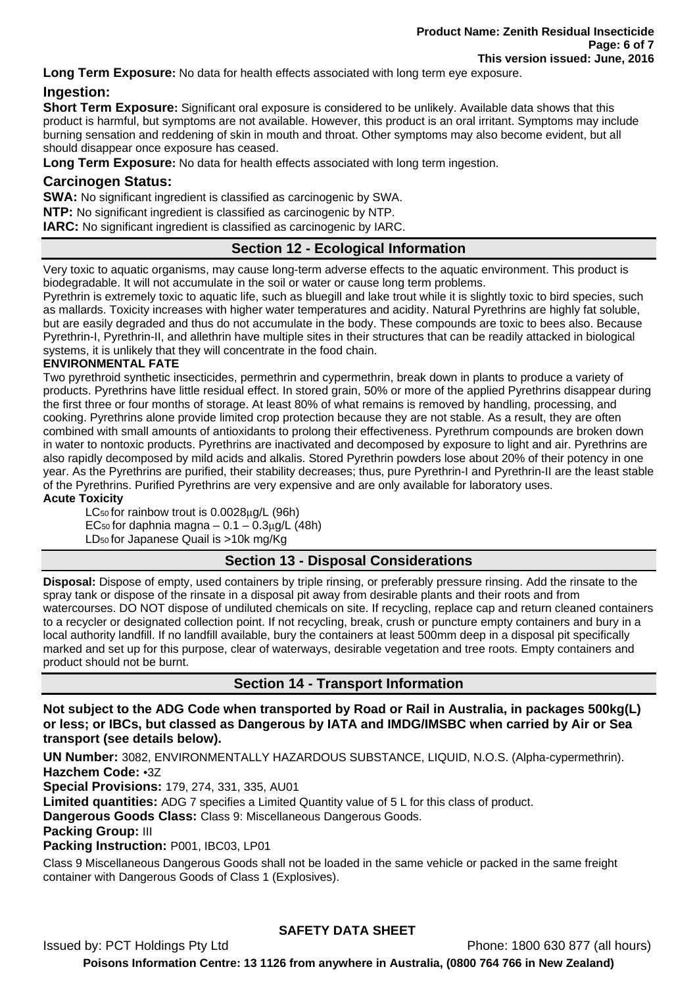**Long Term Exposure:** No data for health effects associated with long term eye exposure.

# **Ingestion:**

**Short Term Exposure:** Significant oral exposure is considered to be unlikely. Available data shows that this product is harmful, but symptoms are not available. However, this product is an oral irritant. Symptoms may include burning sensation and reddening of skin in mouth and throat. Other symptoms may also become evident, but all should disappear once exposure has ceased.

**Long Term Exposure:** No data for health effects associated with long term ingestion.

## **Carcinogen Status:**

**SWA:** No significant ingredient is classified as carcinogenic by SWA.

**NTP:** No significant ingredient is classified as carcinogenic by NTP.

**IARC:** No significant ingredient is classified as carcinogenic by IARC.

# **Section 12 - Ecological Information**

Very toxic to aquatic organisms, may cause long-term adverse effects to the aquatic environment. This product is biodegradable. It will not accumulate in the soil or water or cause long term problems.

Pyrethrin is extremely toxic to aquatic life, such as bluegill and lake trout while it is slightly toxic to bird species, such as mallards. Toxicity increases with higher water temperatures and acidity. Natural Pyrethrins are highly fat soluble, but are easily degraded and thus do not accumulate in the body. These compounds are toxic to bees also. Because Pyrethrin-I, Pyrethrin-II, and allethrin have multiple sites in their structures that can be readily attacked in biological systems, it is unlikely that they will concentrate in the food chain.

#### **ENVIRONMENTAL FATE**

Two pyrethroid synthetic insecticides, permethrin and cypermethrin, break down in plants to produce a variety of products. Pyrethrins have little residual effect. In stored grain, 50% or more of the applied Pyrethrins disappear during the first three or four months of storage. At least 80% of what remains is removed by handling, processing, and cooking. Pyrethrins alone provide limited crop protection because they are not stable. As a result, they are often combined with small amounts of antioxidants to prolong their effectiveness. Pyrethrum compounds are broken down in water to nontoxic products. Pyrethrins are inactivated and decomposed by exposure to light and air. Pyrethrins are also rapidly decomposed by mild acids and alkalis. Stored Pyrethrin powders lose about 20% of their potency in one year. As the Pyrethrins are purified, their stability decreases; thus, pure Pyrethrin-I and Pyrethrin-II are the least stable of the Pyrethrins. Purified Pyrethrins are very expensive and are only available for laboratory uses.

#### **Acute Toxicity**

LC50 for rainbow trout is 0.0028μg/L (96h) EC<sub>50</sub> for daphnia magna  $-0.1 - 0.3 \mu$ g/L (48h) LD50 for Japanese Quail is >10k mg/Kg

# **Section 13 - Disposal Considerations**

**Disposal:** Dispose of empty, used containers by triple rinsing, or preferably pressure rinsing. Add the rinsate to the spray tank or dispose of the rinsate in a disposal pit away from desirable plants and their roots and from watercourses. DO NOT dispose of undiluted chemicals on site. If recycling, replace cap and return cleaned containers to a recycler or designated collection point. If not recycling, break, crush or puncture empty containers and bury in a local authority landfill. If no landfill available, bury the containers at least 500mm deep in a disposal pit specifically marked and set up for this purpose, clear of waterways, desirable vegetation and tree roots. Empty containers and product should not be burnt.

**Section 14 - Transport Information** 

**Not subject to the ADG Code when transported by Road or Rail in Australia, in packages 500kg(L) or less; or IBCs, but classed as Dangerous by IATA and IMDG/IMSBC when carried by Air or Sea transport (see details below).** 

**UN Number:** 3082, ENVIRONMENTALLY HAZARDOUS SUBSTANCE, LIQUID, N.O.S. (Alpha-cypermethrin). **Hazchem Code:** •3Z

**Special Provisions:** 179, 274, 331, 335, AU01

**Limited quantities:** ADG 7 specifies a Limited Quantity value of 5 L for this class of product.

**Dangerous Goods Class:** Class 9: Miscellaneous Dangerous Goods.

## **Packing Group:** III

**Packing Instruction:** P001, IBC03, LP01

Class 9 Miscellaneous Dangerous Goods shall not be loaded in the same vehicle or packed in the same freight container with Dangerous Goods of Class 1 (Explosives).

# **SAFETY DATA SHEET**

Issued by: PCT Holdings Pty Ltd Phone: 1800 630 877 (all hours)